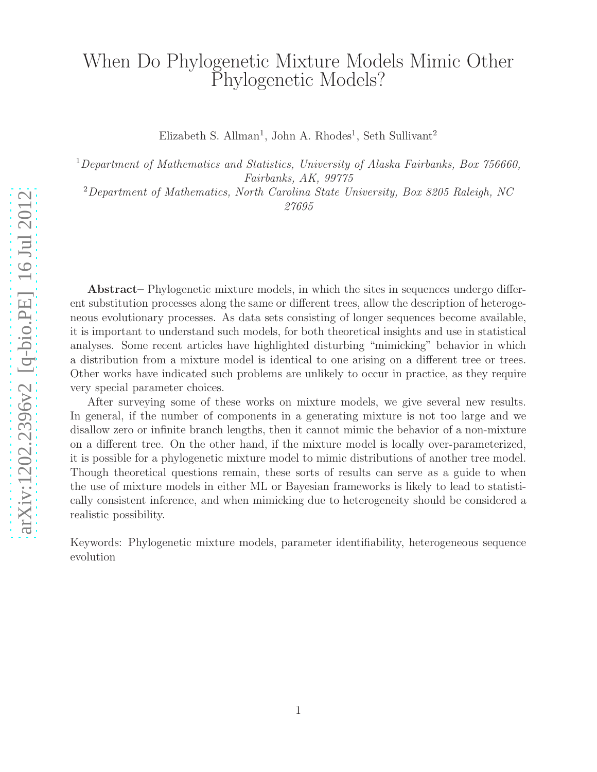# When Do Phylogenetic Mixture Models Mimic Other Phylogenetic Models?

Elizabeth S. Allman<sup>1</sup>, John A. Rhodes<sup>1</sup>, Seth Sullivant<sup>2</sup>

<sup>1</sup>Department of Mathematics and Statistics, University of Alaska Fairbanks, Box 756660, Fairbanks, AK, 99775

<sup>2</sup>Department of Mathematics, North Carolina State University, Box 8205 Raleigh, NC 27695

Abstract– Phylogenetic mixture models, in which the sites in sequences undergo different substitution processes along the same or different trees, allow the description of heterogeneous evolutionary processes. As data sets consisting of longer sequences become available, it is important to understand such models, for both theoretical insights and use in statistical analyses. Some recent articles have highlighted disturbing "mimicking" behavior in which a distribution from a mixture model is identical to one arising on a different tree or trees. Other works have indicated such problems are unlikely to occur in practice, as they require very special parameter choices.

After surveying some of these works on mixture models, we give several new results. In general, if the number of components in a generating mixture is not too large and we disallow zero or infinite branch lengths, then it cannot mimic the behavior of a non-mixture on a different tree. On the other hand, if the mixture model is locally over-parameterized, it is possible for a phylogenetic mixture model to mimic distributions of another tree model. Though theoretical questions remain, these sorts of results can serve as a guide to when the use of mixture models in either ML or Bayesian frameworks is likely to lead to statistically consistent inference, and when mimicking due to heterogeneity should be considered a realistic possibility.

Keywords: Phylogenetic mixture models, parameter identifiability, heterogeneous sequence evolution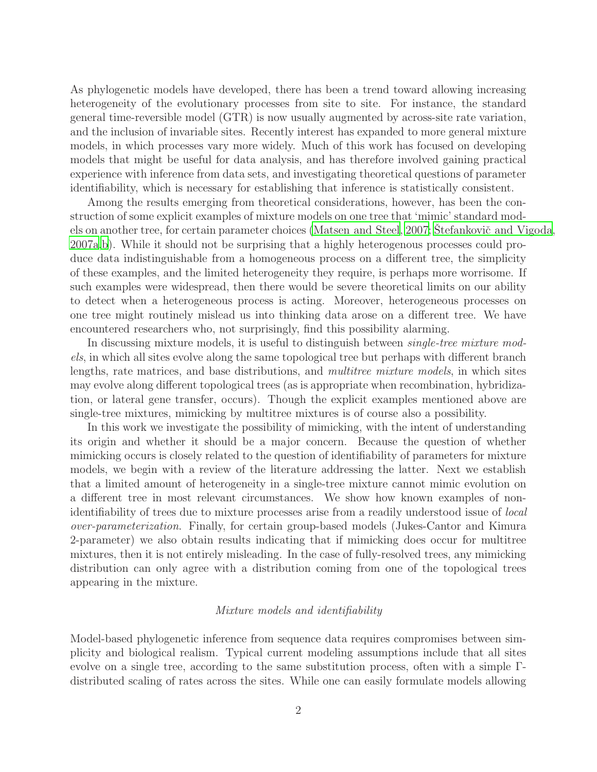As phylogenetic models have developed, there has been a trend toward allowing increasing heterogeneity of the evolutionary processes from site to site. For instance, the standard general time-reversible model (GTR) is now usually augmented by across-site rate variation, and the inclusion of invariable sites. Recently interest has expanded to more general mixture models, in which processes vary more widely. Much of this work has focused on developing models that might be useful for data analysis, and has therefore involved gaining practical experience with inference from data sets, and investigating theoretical questions of parameter identifiability, which is necessary for establishing that inference is statistically consistent.

Among the results emerging from theoretical considerations, however, has been the construction of some explicit examples of mixture models on one tree that 'mimic' standard mod-els on another tree, for certain parameter choices [\(Matsen and Steel](#page-15-0), [2007;](#page-15-0) Stefankovič and Vigoda, [2007a](#page-15-1)[,b\)](#page-16-0). While it should not be surprising that a highly heterogenous processes could produce data indistinguishable from a homogeneous process on a different tree, the simplicity of these examples, and the limited heterogeneity they require, is perhaps more worrisome. If such examples were widespread, then there would be severe theoretical limits on our ability to detect when a heterogeneous process is acting. Moreover, heterogeneous processes on one tree might routinely mislead us into thinking data arose on a different tree. We have encountered researchers who, not surprisingly, find this possibility alarming.

In discussing mixture models, it is useful to distinguish between *single-tree mixture mod*els, in which all sites evolve along the same topological tree but perhaps with different branch lengths, rate matrices, and base distributions, and multitree mixture models, in which sites may evolve along different topological trees (as is appropriate when recombination, hybridization, or lateral gene transfer, occurs). Though the explicit examples mentioned above are single-tree mixtures, mimicking by multitree mixtures is of course also a possibility.

In this work we investigate the possibility of mimicking, with the intent of understanding its origin and whether it should be a major concern. Because the question of whether mimicking occurs is closely related to the question of identifiability of parameters for mixture models, we begin with a review of the literature addressing the latter. Next we establish that a limited amount of heterogeneity in a single-tree mixture cannot mimic evolution on a different tree in most relevant circumstances. We show how known examples of nonidentifiability of trees due to mixture processes arise from a readily understood issue of local over-parameterization. Finally, for certain group-based models (Jukes-Cantor and Kimura 2-parameter) we also obtain results indicating that if mimicking does occur for multitree mixtures, then it is not entirely misleading. In the case of fully-resolved trees, any mimicking distribution can only agree with a distribution coming from one of the topological trees appearing in the mixture.

## Mixture models and identifiability

Model-based phylogenetic inference from sequence data requires compromises between simplicity and biological realism. Typical current modeling assumptions include that all sites evolve on a single tree, according to the same substitution process, often with a simple Γdistributed scaling of rates across the sites. While one can easily formulate models allowing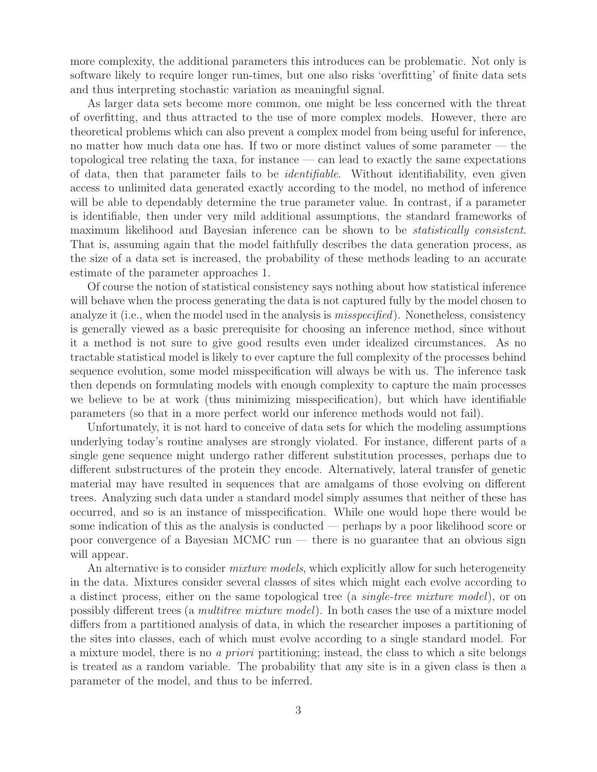more complexity, the additional parameters this introduces can be problematic. Not only is software likely to require longer run-times, but one also risks 'overfitting' of finite data sets and thus interpreting stochastic variation as meaningful signal.

As larger data sets become more common, one might be less concerned with the threat of overfitting, and thus attracted to the use of more complex models. However, there are theoretical problems which can also prevent a complex model from being useful for inference, no matter how much data one has. If two or more distinct values of some parameter — the topological tree relating the taxa, for instance — can lead to exactly the same expectations of data, then that parameter fails to be identifiable. Without identifiability, even given access to unlimited data generated exactly according to the model, no method of inference will be able to dependably determine the true parameter value. In contrast, if a parameter is identifiable, then under very mild additional assumptions, the standard frameworks of maximum likelihood and Bayesian inference can be shown to be *statistically consistent*. That is, assuming again that the model faithfully describes the data generation process, as the size of a data set is increased, the probability of these methods leading to an accurate estimate of the parameter approaches 1.

Of course the notion of statistical consistency says nothing about how statistical inference will behave when the process generating the data is not captured fully by the model chosen to analyze it (i.e., when the model used in the analysis is *misspecified*). Nonetheless, consistency is generally viewed as a basic prerequisite for choosing an inference method, since without it a method is not sure to give good results even under idealized circumstances. As no tractable statistical model is likely to ever capture the full complexity of the processes behind sequence evolution, some model misspecification will always be with us. The inference task then depends on formulating models with enough complexity to capture the main processes we believe to be at work (thus minimizing misspecification), but which have identifiable parameters (so that in a more perfect world our inference methods would not fail).

Unfortunately, it is not hard to conceive of data sets for which the modeling assumptions underlying today's routine analyses are strongly violated. For instance, different parts of a single gene sequence might undergo rather different substitution processes, perhaps due to different substructures of the protein they encode. Alternatively, lateral transfer of genetic material may have resulted in sequences that are amalgams of those evolving on different trees. Analyzing such data under a standard model simply assumes that neither of these has occurred, and so is an instance of misspecification. While one would hope there would be some indication of this as the analysis is conducted — perhaps by a poor likelihood score or poor convergence of a Bayesian MCMC run — there is no guarantee that an obvious sign will appear.

An alternative is to consider *mixture models*, which explicitly allow for such heterogeneity in the data. Mixtures consider several classes of sites which might each evolve according to a distinct process, either on the same topological tree (a single-tree mixture model), or on possibly different trees (a multitree mixture model). In both cases the use of a mixture model differs from a partitioned analysis of data, in which the researcher imposes a partitioning of the sites into classes, each of which must evolve according to a single standard model. For a mixture model, there is no a priori partitioning; instead, the class to which a site belongs is treated as a random variable. The probability that any site is in a given class is then a parameter of the model, and thus to be inferred.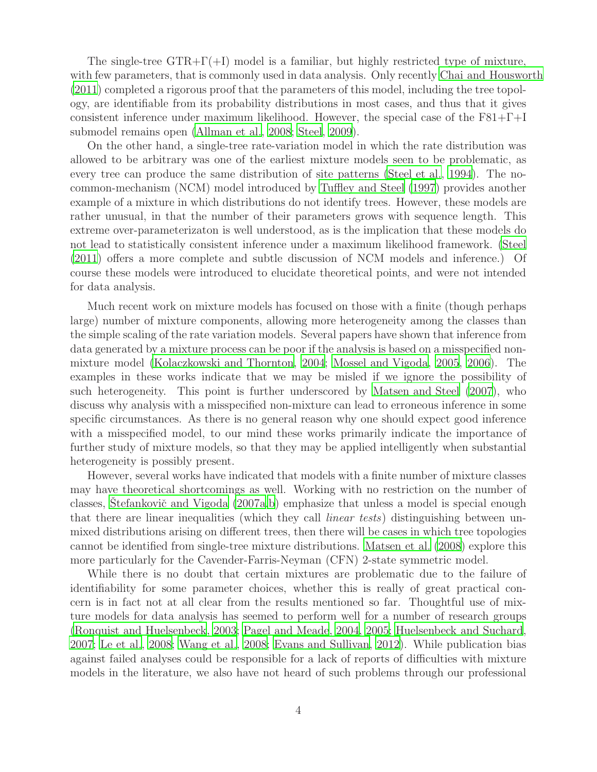The single-tree  $GTR+\Gamma(+1)$  model is a familiar, but highly restricted type of mixture, with few parameters, that is commonly used in data analysis. Only recently [Chai and Housworth](#page-14-0) [\(2011\)](#page-14-0) completed a rigorous proof that the parameters of this model, including the tree topology, are identifiable from its probability distributions in most cases, and thus that it gives consistent inference under maximum likelihood. However, the special case of the  $F81+\Gamma+I$ submodel remains open [\(Allman et al.](#page-14-1), [2008;](#page-14-1) [Steel](#page-15-2), [2009](#page-15-2)).

On the other hand, a single-tree rate-variation model in which the rate distribution was allowed to be arbitrary was one of the earliest mixture models seen to be problematic, as every tree can produce the same distribution of site patterns [\(Steel et al., 1994\)](#page-15-3). The nocommon-mechanism (NCM) model introduced by [Tuffley and Steel \(1997\)](#page-15-4) provides another example of a mixture in which distributions do not identify trees. However, these models are rather unusual, in that the number of their parameters grows with sequence length. This extreme over-parameterizaton is well understood, as is the implication that these models do not lead to statistically consistent inference under a maximum likelihood framework. [\(Steel](#page-15-5) [\(2011\)](#page-15-5) offers a more complete and subtle discussion of NCM models and inference.) Of course these models were introduced to elucidate theoretical points, and were not intended for data analysis.

Much recent work on mixture models has focused on those with a finite (though perhaps large) number of mixture components, allowing more heterogeneity among the classes than the simple scaling of the rate variation models. Several papers have shown that inference from data generated by a mixture process can be poor if the analysis is based on a misspecified nonmixture model [\(Kolaczkowski and Thornton](#page-15-6), [2004](#page-15-6); [Mossel and Vigoda](#page-15-7), [2005,](#page-15-7) [2006\)](#page-15-8). The examples in these works indicate that we may be misled if we ignore the possibility of such heterogeneity. This point is further underscored by Matsen [and Steel \(2007](#page-15-0)), who discuss why analysis with a misspecified non-mixture can lead to erroneous inference in some specific circumstances. As there is no general reason why one should expect good inference with a misspecified model, to our mind these works primarily indicate the importance of further study of mixture models, so that they may be applied intelligently when substantial heterogeneity is possibly present.

However, several works have indicated that models with a finite number of mixture classes may have theoretical shortcomings as well. Working with no restriction on the number of classes, Stefankovič and Vigoda  $(2007a,b)$  $(2007a,b)$  emphasize that unless a model is special enough that there are linear inequalities (which they call *linear tests*) distinguishing between unmixed distributions arising on different trees, then there will be cases in which tree topologies cannot be identified from single-tree mixture distributions. [Matsen](#page-15-9) et al. [\(2008](#page-15-9)) explore this more particularly for the Cavender-Farris-Neyman (CFN) 2-state symmetric model.

While there is no doubt that certain mixtures are problematic due to the failure of identifiability for some parameter choices, whether this is really of great practical concern is in fact not at all clear from the results mentioned so far. Thoughtful use of mixture models for data analysis has seemed to perform well for a number of research groups [\(Ronquist and Huelsenbeck](#page-15-10), [2003;](#page-15-10) [Pagel and Meade, 2004](#page-15-11), [2005;](#page-15-12) [Huelsenbeck and Suchard,](#page-15-13) [2007;](#page-15-13) [Le et al.](#page-15-14), [2008](#page-15-14); [Wang et al., 2008;](#page-16-1) [Evans and Sullivan, 2012\)](#page-14-2). While publication bias against failed analyses could be responsible for a lack of reports of difficulties with mixture models in the literature, we also have not heard of such problems through our professional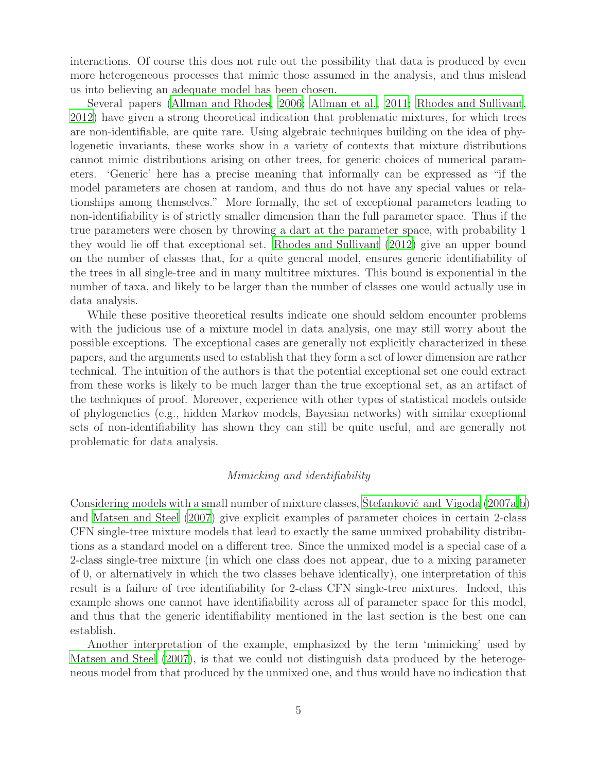interactions. Of course this does not rule out the possibility that data is produced by even more heterogeneous processes that mimic those assumed in the analysis, and thus mislead us into believing an adequate model has been chosen.

Several papers [\(Allman and Rhodes](#page-14-3), [2006;](#page-14-3) [Allman et al.](#page-14-4), [2011;](#page-14-4) [Rhodes and Sullivant,](#page-15-15) [2012\)](#page-15-15) have given a strong theoretical indication that problematic mixtures, for which trees are non-identifiable, are quite rare. Using algebraic techniques building on the idea of phylogenetic invariants, these works show in a variety of contexts that mixture distributions cannot mimic distributions arising on other trees, for generic choices of numerical parameters. 'Generic' here has a precise meaning that informally can be expressed as "if the model parameters are chosen at random, and thus do not have any special values or relationships among themselves." More formally, the set of exceptional parameters leading to non-identifiability is of strictly smaller dimension than the full parameter space. Thus if the true parameters were chosen by throwing a dart at the parameter space, with probability 1 they would lie off that exceptional set. [Rhodes and Sullivant \(2012\)](#page-15-15) give an upper bound on the number of classes that, for a quite general model, ensures generic identifiability of the trees in all single-tree and in many multitree mixtures. This bound is exponential in the number of taxa, and likely to be larger than the number of classes one would actually use in data analysis.

While these positive theoretical results indicate one should seldom encounter problems with the judicious use of a mixture model in data analysis, one may still worry about the possible exceptions. The exceptional cases are generally not explicitly characterized in these papers, and the arguments used to establish that they form a set of lower dimension are rather technical. The intuition of the authors is that the potential exceptional set one could extract from these works is likely to be much larger than the true exceptional set, as an artifact of the techniques of proof. Moreover, experience with other types of statistical models outside of phylogenetics (e.g., hidden Markov models, Bayesian networks) with similar exceptional sets of non-identifiability has shown they can still be quite useful, and are generally not problematic for data analysis.

## Mimicking and identifiability

Considering models with a small number of mixture classes, Stefankovič and Vigoda (2007a[,b](#page-16-0)) and [Matsen and Steel \(2007\)](#page-15-0) give explicit examples of parameter choices in certain 2-class CFN single-tree mixture models that lead to exactly the same unmixed probability distributions as a standard model on a different tree. Since the unmixed model is a special case of a 2-class single-tree mixture (in which one class does not appear, due to a mixing parameter of 0, or alternatively in which the two classes behave identically), one interpretation of this result is a failure of tree identifiability for 2-class CFN single-tree mixtures. Indeed, this example shows one cannot have identifiability across all of parameter space for this model, and thus that the generic identifiability mentioned in the last section is the best one can establish.

Another interpretation of the example, emphasized by the term 'mimicking' used by [Matsen and Steel \(2007\)](#page-15-0), is that we could not distinguish data produced by the heterogeneous model from that produced by the unmixed one, and thus would have no indication that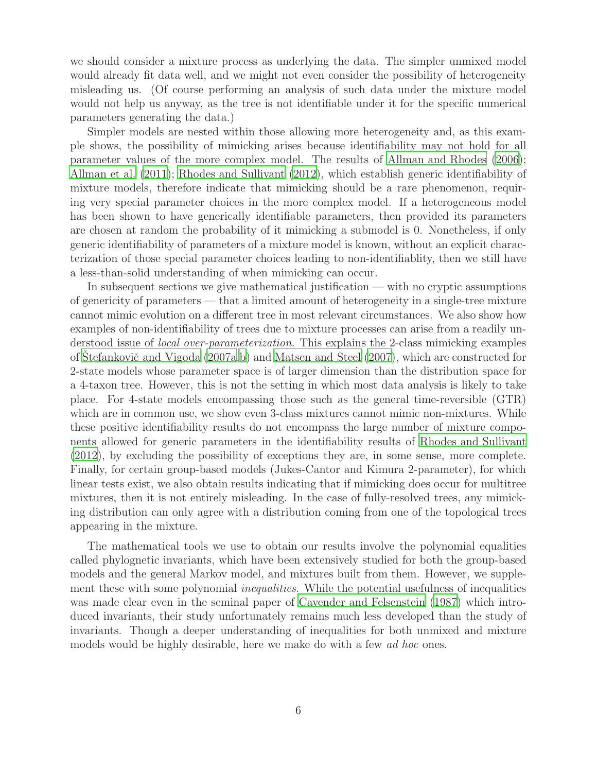we should consider a mixture process as underlying the data. The simpler unmixed model would already fit data well, and we might not even consider the possibility of heterogeneity misleading us. (Of course performing an analysis of such data under the mixture model would not help us anyway, as the tree is not identifiable under it for the specific numerical parameters generating the data.)

Simpler models are nested within those allowing more heterogeneity and, as this example shows, the possibility of mimicking arises because identifiability may not hold for all parameter values of the more complex model. The results of [Allman and Rhodes \(2006](#page-14-3)); [Allman et al. \(2011](#page-14-4)); [Rhodes and Sullivant \(2012\)](#page-15-15), which establish generic identifiability of mixture models, therefore indicate that mimicking should be a rare phenomenon, requiring very special parameter choices in the more complex model. If a heterogeneous model has been shown to have generically identifiable parameters, then provided its parameters are chosen at random the probability of it mimicking a submodel is 0. Nonetheless, if only generic identifiability of parameters of a mixture model is known, without an explicit characterization of those special parameter choices leading to non-identifiablity, then we still have a less-than-solid understanding of when mimicking can occur.

In subsequent sections we give mathematical justification — with no cryptic assumptions of genericity of parameters — that a limited amount of heterogeneity in a single-tree mixture cannot mimic evolution on a different tree in most relevant circumstances. We also show how examples of non-identifiability of trees due to mixture processes can arise from a readily understood issue of local over-parameterization. This explains the 2-class mimicking examples of Stefankovič and Vigoda  $(2007a,b)$  $(2007a,b)$  $(2007a,b)$  and Matsen and Steel  $(2007)$ , which are constructed for 2-state models whose parameter space is of larger dimension than the distribution space for a 4-taxon tree. However, this is not the setting in which most data analysis is likely to take place. For 4-state models encompassing those such as the general time-reversible (GTR) which are in common use, we show even 3-class mixtures cannot mimic non-mixtures. While these positive identifiability results do not encompass the large number of mixture components allowed for generic parameters in the identifiability results of [Rhodes and Sullivant](#page-15-15) [\(2012\)](#page-15-15), by excluding the possibility of exceptions they are, in some sense, more complete. Finally, for certain group-based models (Jukes-Cantor and Kimura 2-parameter), for which linear tests exist, we also obtain results indicating that if mimicking does occur for multitree mixtures, then it is not entirely misleading. In the case of fully-resolved trees, any mimicking distribution can only agree with a distribution coming from one of the topological trees appearing in the mixture.

The mathematical tools we use to obtain our results involve the polynomial equalities called phylognetic invariants, which have been extensively studied for both the group-based models and the general Markov model, and mixtures built from them. However, we supplement these with some polynomial *inequalities*. While the potential usefulness of inequalities was made clear even in the seminal paper of [Cavender and Felsenstein \(1987\)](#page-14-5) which introduced invariants, their study unfortunately remains much less developed than the study of invariants. Though a deeper understanding of inequalities for both unmixed and mixture models would be highly desirable, here we make do with a few *ad hoc* ones.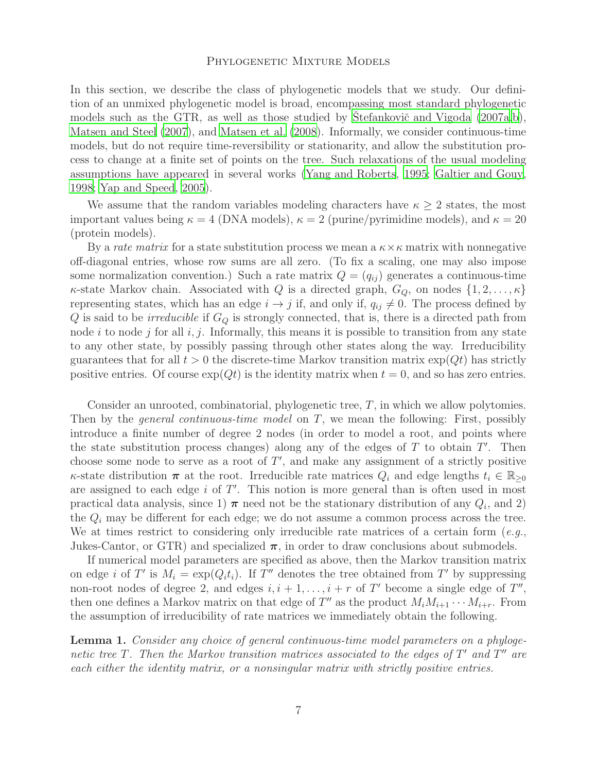## PHYLOGENETIC MIXTURE MODELS

In this section, we describe the class of phylogenetic models that we study. Our definition of an unmixed phylogenetic model is broad, encompassing most standard phylogenetic models such as the GTR, as well as those studied by Stefankovič and Vigoda  $(2007a,b)$  $(2007a,b)$  $(2007a,b)$ , [Matsen and Steel \(2007](#page-15-0)), and [Matsen et al. \(2008\)](#page-15-9). Informally, we consider continuous-time models, but do not require time-reversibility or stationarity, and allow the substitution process to change at a finite set of points on the tree. Such relaxations of the usual modeling assumptions have appeared in several works [\(Yang and Roberts](#page-16-2), [1995](#page-16-2); [Galtier and Gouy,](#page-14-6) [1998;](#page-14-6) [Yap and Speed, 2005](#page-16-3)).

We assume that the random variables modeling characters have  $\kappa \geq 2$  states, the most important values being  $\kappa = 4$  (DNA models),  $\kappa = 2$  (purine/pyrimidine models), and  $\kappa = 20$ (protein models).

By a *rate matrix* for a state substitution process we mean a  $\kappa \times \kappa$  matrix with nonnegative off-diagonal entries, whose row sums are all zero. (To fix a scaling, one may also impose some normalization convention.) Such a rate matrix  $Q = (q_{ij})$  generates a continuous-time  $\kappa$ -state Markov chain. Associated with Q is a directed graph,  $G_Q$ , on nodes  $\{1, 2, \ldots, \kappa\}$ representing states, which has an edge  $i \rightarrow j$  if, and only if,  $q_{ij} \neq 0$ . The process defined by  $Q$  is said to be *irreducible* if  $G_Q$  is strongly connected, that is, there is a directed path from node i to node j for all  $i, j$ . Informally, this means it is possible to transition from any state to any other state, by possibly passing through other states along the way. Irreducibility guarantees that for all  $t > 0$  the discrete-time Markov transition matrix  $\exp(qt)$  has strictly positive entries. Of course  $\exp(Qt)$  is the identity matrix when  $t = 0$ , and so has zero entries.

Consider an unrooted, combinatorial, phylogenetic tree,  $T$ , in which we allow polytomies. Then by the *general continuous-time model* on  $T$ , we mean the following: First, possibly introduce a finite number of degree 2 nodes (in order to model a root, and points where the state substitution process changes) along any of the edges of  $T$  to obtain  $T'$ . Then choose some node to serve as a root of  $T'$ , and make any assignment of a strictly positive  $\kappa$ -state distribution  $\pi$  at the root. Irreducible rate matrices  $Q_i$  and edge lengths  $t_i \in \mathbb{R}_{\geq 0}$ are assigned to each edge  $i$  of  $T'$ . This notion is more general than is often used in most practical data analysis, since 1)  $\pi$  need not be the stationary distribution of any  $Q_i$ , and 2) the  $Q_i$  may be different for each edge; we do not assume a common process across the tree. We at times restrict to considering only irreducible rate matrices of a certain form  $(e.q.,)$ Jukes-Cantor, or GTR) and specialized  $\pi$ , in order to draw conclusions about submodels.

If numerical model parameters are specified as above, then the Markov transition matrix on edge *i* of T' is  $M_i = \exp(Q_i t_i)$ . If T'' denotes the tree obtained from T' by suppressing non-root nodes of degree 2, and edges  $i, i + 1, \ldots, i + r$  of T' become a single edge of T'', then one defines a Markov matrix on that edge of  $T''$  as the product  $M_i M_{i+1} \cdots M_{i+r}$ . From the assumption of irreducibility of rate matrices we immediately obtain the following.

<span id="page-6-0"></span>Lemma 1. Consider any choice of general continuous-time model parameters on a phylogenetic tree T. Then the Markov transition matrices associated to the edges of  $T'$  and  $T''$  are each either the identity matrix, or a nonsingular matrix with strictly positive entries.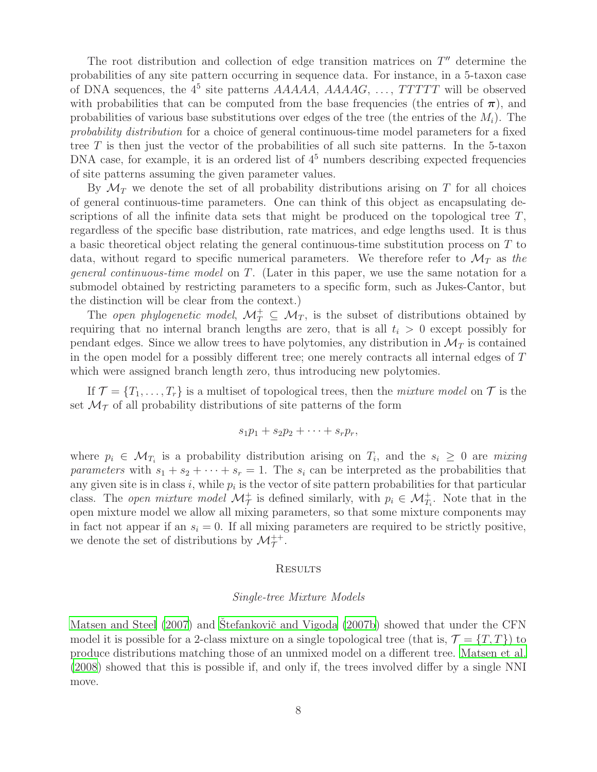The root distribution and collection of edge transition matrices on  $T''$  determine the probabilities of any site pattern occurring in sequence data. For instance, in a 5-taxon case of DNA sequences, the  $4^5$  site patterns  $AAAA$ ,  $AAAA$ ,  $A, AAA$ ,  $A, AAA$ ,  $B, A, B$ ,  $B$ ,  $B$  and  $C$  are  $D$  will be observed with probabilities that can be computed from the base frequencies (the entries of  $\pi$ ), and probabilities of various base substitutions over edges of the tree (the entries of the  $M_i$ ). The probability distribution for a choice of general continuous-time model parameters for a fixed tree  $T$  is then just the vector of the probabilities of all such site patterns. In the 5-taxon DNA case, for example, it is an ordered list of  $4<sup>5</sup>$  numbers describing expected frequencies of site patterns assuming the given parameter values.

By  $\mathcal{M}_T$  we denote the set of all probability distributions arising on T for all choices of general continuous-time parameters. One can think of this object as encapsulating descriptions of all the infinite data sets that might be produced on the topological tree  $T$ , regardless of the specific base distribution, rate matrices, and edge lengths used. It is thus a basic theoretical object relating the general continuous-time substitution process on T to data, without regard to specific numerical parameters. We therefore refer to  $\mathcal{M}_T$  as the general continuous-time model on T. (Later in this paper, we use the same notation for a submodel obtained by restricting parameters to a specific form, such as Jukes-Cantor, but the distinction will be clear from the context.)

The open phylogenetic model,  $\mathcal{M}_T^+ \subseteq \mathcal{M}_T$ , is the subset of distributions obtained by requiring that no internal branch lengths are zero, that is all  $t_i > 0$  except possibly for pendant edges. Since we allow trees to have polytomies, any distribution in  $\mathcal{M}_T$  is contained in the open model for a possibly different tree; one merely contracts all internal edges of T which were assigned branch length zero, thus introducing new polytomies.

If  $\mathcal{T} = \{T_1, \ldots, T_r\}$  is a multiset of topological trees, then the *mixture model* on  $\mathcal{T}$  is the set  $\mathcal{M}_{\mathcal{T}}$  of all probability distributions of site patterns of the form

$$
s_1p_1+s_2p_2+\cdots+s_rp_r,
$$

where  $p_i \in \mathcal{M}_{T_i}$  is a probability distribution arising on  $T_i$ , and the  $s_i \geq 0$  are mixing parameters with  $s_1 + s_2 + \cdots + s_r = 1$ . The  $s_i$  can be interpreted as the probabilities that any given site is in class i, while  $p_i$  is the vector of site pattern probabilities for that particular class. The open mixture model  $\mathcal{M}_{\mathcal{T}}^+$  is defined similarly, with  $p_i \in \mathcal{M}_{T_i}^+$ . Note that in the open mixture model we allow all mixing parameters, so that some mixture components may in fact not appear if an  $s_i = 0$ . If all mixing parameters are required to be strictly positive, we denote the set of distributions by  $\mathcal{M}_{\mathcal{T}}^{++}$ .

## **RESULTS**

## Single-tree Mixture Models

[Matsen and Steel \(2007](#page-15-0)) and Stefankovič and Vigoda (2007b) showed that under the CFN model it is possible for a 2-class mixture on a single topological tree (that is,  $\mathcal{T} = \{T, T\}$ ) to produce distributions matching those of an unmixed model on a different tree. [Matsen et al.](#page-15-9) [\(2008\)](#page-15-9) showed that this is possible if, and only if, the trees involved differ by a single NNI move.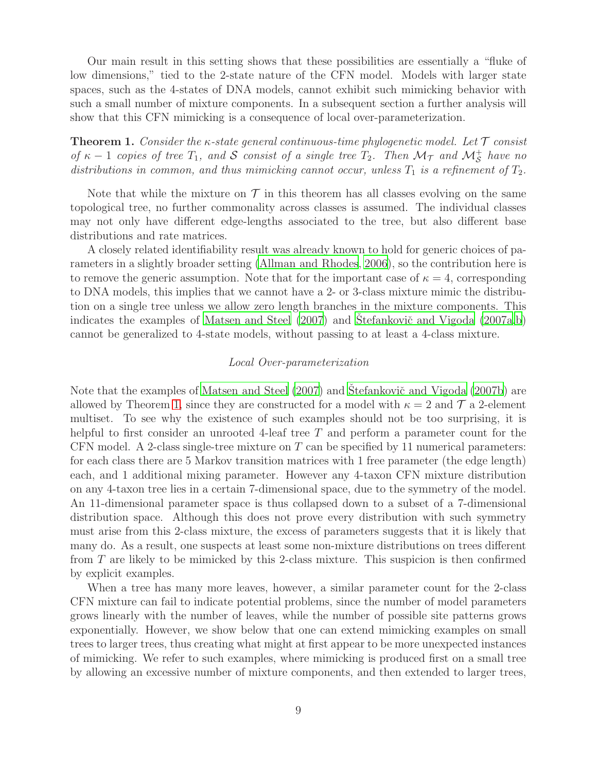Our main result in this setting shows that these possibilities are essentially a "fluke of low dimensions," tied to the 2-state nature of the CFN model. Models with larger state spaces, such as the 4-states of DNA models, cannot exhibit such mimicking behavior with such a small number of mixture components. In a subsequent section a further analysis will show that this CFN mimicking is a consequence of local over-parameterization.

<span id="page-8-0"></span>**Theorem 1.** Consider the  $\kappa$ -state general continuous-time phylogenetic model. Let  $\mathcal T$  consist of  $\kappa - 1$  copies of tree  $T_1$ , and S consist of a single tree  $T_2$ . Then  $\mathcal{M}_{\mathcal{T}}$  and  $\mathcal{M}_{\mathcal{S}}^+$  have no distributions in common, and thus mimicking cannot occur, unless  $T_1$  is a refinement of  $T_2$ .

Note that while the mixture on  $\mathcal T$  in this theorem has all classes evolving on the same topological tree, no further commonality across classes is assumed. The individual classes may not only have different edge-lengths associated to the tree, but also different base distributions and rate matrices.

A closely related identifiability result was already known to hold for generic choices of parameters in a slightly broader setting [\(Allman and Rhodes, 2006\)](#page-14-3), so the contribution here is to remove the generic assumption. Note that for the important case of  $\kappa = 4$ , corresponding to DNA models, this implies that we cannot have a 2- or 3-class mixture mimic the distribution on a single tree unless we allow zero length branches in the mixture components. This indicates the examples of Matsen and Steel  $(2007)$  and Stefankovič and Vigoda  $(2007a,b)$  $(2007a,b)$  $(2007a,b)$ cannot be generalized to 4-state models, without passing to at least a 4-class mixture.

## Local Over-parameterization

Note that the examples of [Matsen and Steel \(2007](#page-15-0)) and Štefankovič and Vigoda (2007b) are allowed by Theorem [1,](#page-8-0) since they are constructed for a model with  $\kappa = 2$  and  $\mathcal{T}$  a 2-element multiset. To see why the existence of such examples should not be too surprising, it is helpful to first consider an unrooted 4-leaf tree T and perform a parameter count for the CFN model. A 2-class single-tree mixture on  $T$  can be specified by 11 numerical parameters: for each class there are 5 Markov transition matrices with 1 free parameter (the edge length) each, and 1 additional mixing parameter. However any 4-taxon CFN mixture distribution on any 4-taxon tree lies in a certain 7-dimensional space, due to the symmetry of the model. An 11-dimensional parameter space is thus collapsed down to a subset of a 7-dimensional distribution space. Although this does not prove every distribution with such symmetry must arise from this 2-class mixture, the excess of parameters suggests that it is likely that many do. As a result, one suspects at least some non-mixture distributions on trees different from T are likely to be mimicked by this 2-class mixture. This suspicion is then confirmed by explicit examples.

When a tree has many more leaves, however, a similar parameter count for the 2-class CFN mixture can fail to indicate potential problems, since the number of model parameters grows linearly with the number of leaves, while the number of possible site patterns grows exponentially. However, we show below that one can extend mimicking examples on small trees to larger trees, thus creating what might at first appear to be more unexpected instances of mimicking. We refer to such examples, where mimicking is produced first on a small tree by allowing an excessive number of mixture components, and then extended to larger trees,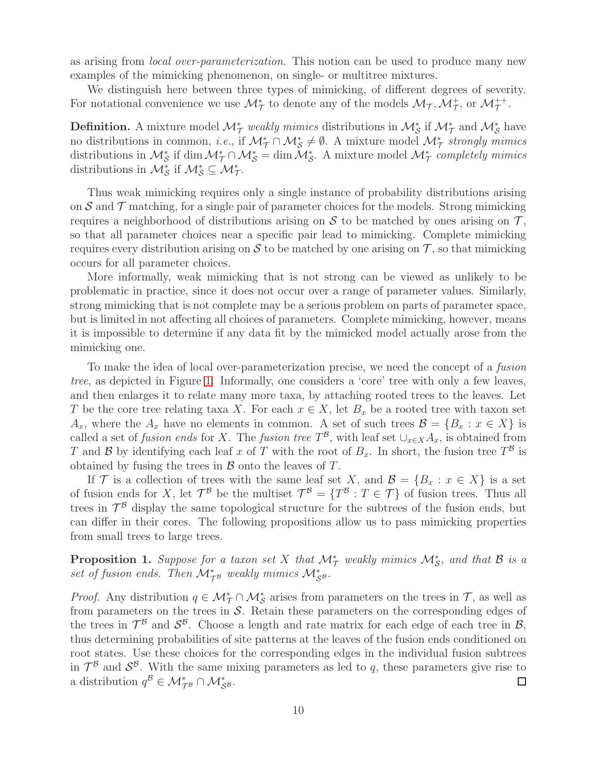as arising from *local over-parameterization*. This notion can be used to produce many new examples of the mimicking phenomenon, on single- or multitree mixtures.

We distinguish here between three types of mimicking, of different degrees of severity. For notational convenience we use  $\mathcal{M}_{\mathcal{T}}^*$  to denote any of the models  $\mathcal{M}_{\mathcal{T}}$ ,  $\mathcal{M}_{\mathcal{T}}^+$ , or  $\mathcal{M}_{\mathcal{T}}^{++}$ .

**Definition.** A mixture model  $\mathcal{M}_{\mathcal{T}}^*$  weakly mimics distributions in  $\mathcal{M}_{\mathcal{S}}^*$  if  $\mathcal{M}_{\mathcal{T}}^*$  and  $\mathcal{M}_{\mathcal{S}}^*$  have no distributions in common, *i.e.*, if  $\mathcal{M}_{\mathcal{T}}^* \cap \mathcal{M}_{\mathcal{S}}^* \neq \emptyset$ . A mixture model  $\mathcal{M}_{\mathcal{T}}^*$  strongly mimics distributions in  $M_S^*$  if dim  $M_T^* \cap M_S^* = \dim M_S^*$ . A mixture model  $M_T^*$  completely mimics distributions in  $\mathcal{M}_{\mathcal{S}}^*$  if  $\mathcal{M}_{\mathcal{S}}^* \subseteq \mathcal{M}_{\mathcal{T}}^*$ .

Thus weak mimicking requires only a single instance of probability distributions arising on  $S$  and  $\mathcal T$  matching, for a single pair of parameter choices for the models. Strong mimicking requires a neighborhood of distributions arising on  $S$  to be matched by ones arising on  $T$ , so that all parameter choices near a specific pair lead to mimicking. Complete mimicking requires every distribution arising on  $S$  to be matched by one arising on  $T$ , so that mimicking occurs for all parameter choices.

More informally, weak mimicking that is not strong can be viewed as unlikely to be problematic in practice, since it does not occur over a range of parameter values. Similarly, strong mimicking that is not complete may be a serious problem on parts of parameter space, but is limited in not affecting all choices of parameters. Complete mimicking, however, means it is impossible to determine if any data fit by the mimicked model actually arose from the mimicking one.

To make the idea of local over-parameterization precise, we need the concept of a fusion tree, as depicted in Figure [1.](#page-10-0) Informally, one considers a 'core' tree with only a few leaves, and then enlarges it to relate many more taxa, by attaching rooted trees to the leaves. Let T be the core tree relating taxa X. For each  $x \in X$ , let  $B_x$  be a rooted tree with taxon set  $A_x$ , where the  $A_x$  have no elements in common. A set of such trees  $\mathcal{B} = \{B_x : x \in X\}$  is called a set of *fusion ends* for X. The *fusion tree*  $T^{\mathcal{B}}$ , with leaf set  $\cup_{x\in X} A_x$ , is obtained from T and B by identifying each leaf x of T with the root of  $B_x$ . In short, the fusion tree  $T^{\mathcal{B}}$  is obtained by fusing the trees in  $\mathcal B$  onto the leaves of  $T$ .

If T is a collection of trees with the same leaf set X, and  $\mathcal{B} = \{B_x : x \in X\}$  is a set of fusion ends for X, let  $\mathcal{T}^{\mathcal{B}}$  be the multiset  $\mathcal{T}^{\mathcal{B}} = \{T^{\mathcal{B}} : T \in \mathcal{T}\}\$ of fusion trees. Thus all trees in  $\mathcal{T}^{\beta}$  display the same topological structure for the subtrees of the fusion ends, but can differ in their cores. The following propositions allow us to pass mimicking properties from small trees to large trees.

<span id="page-9-0"></span>**Proposition 1.** Suppose for a taxon set X that  $\mathcal{M}_{\mathcal{T}}^*$  weakly mimics  $\mathcal{M}_{\mathcal{S}}^*$ , and that B is a set of fusion ends. Then  $\mathcal{M}_{\mathcal{T}^{\mathcal{B}}}^{*}$  weakly mimics  $\mathcal{M}_{\mathcal{S}^{\mathcal{B}}}^{*}$ .

*Proof.* Any distribution  $q \in M^*_{\mathcal{T}} \cap M^*_{\mathcal{S}}$  arises from parameters on the trees in  $\mathcal{T}$ , as well as from parameters on the trees in  $S$ . Retain these parameters on the corresponding edges of the trees in  $\mathcal{T}^{\mathcal{B}}$  and  $\mathcal{S}^{\mathcal{B}}$ . Choose a length and rate matrix for each edge of each tree in  $\mathcal{B}$ , thus determining probabilities of site patterns at the leaves of the fusion ends conditioned on root states. Use these choices for the corresponding edges in the individual fusion subtrees in  $\mathcal{T}^{\mathcal{B}}$  and  $\mathcal{S}^{\mathcal{B}}$ . With the same mixing parameters as led to q, these parameters give rise to a distribution  $q^{\mathcal{B}} \in \mathcal{M}_{\mathcal{T}^{\mathcal{B}}}^* \cap \mathcal{M}_{\mathcal{S}^{\mathcal{B}}}^*$ .  $\Box$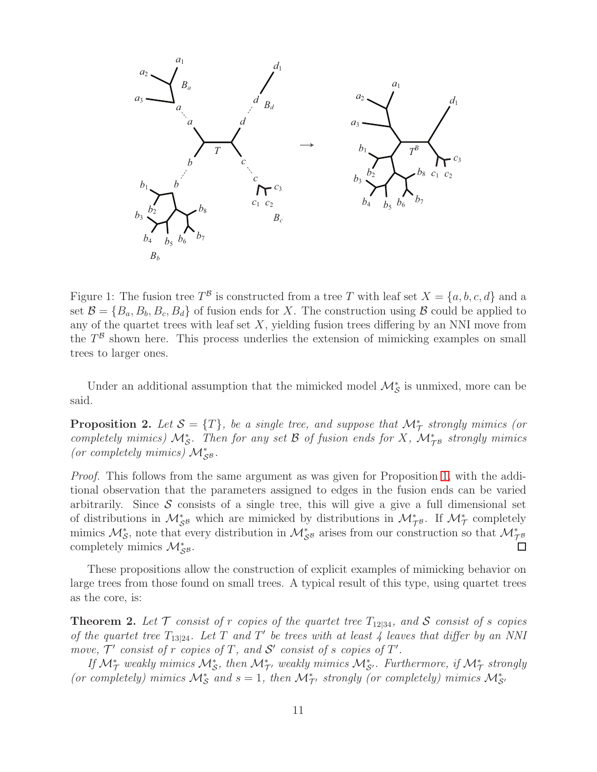

<span id="page-10-0"></span>Figure 1: The fusion tree  $T^{\beta}$  is constructed from a tree T with leaf set  $X = \{a, b, c, d\}$  and a set  $\mathcal{B} = \{B_a, B_b, B_c, B_d\}$  of fusion ends for X. The construction using  $\mathcal{B}$  could be applied to any of the quartet trees with leaf set  $X$ , yielding fusion trees differing by an NNI move from the  $T^{\mathcal{B}}$  shown here. This process underlies the extension of mimicking examples on small trees to larger ones.

Under an additional assumption that the mimicked model  $\mathcal{M}_{\mathcal{S}}^{*}$  is unmixed, more can be said.

<span id="page-10-1"></span>**Proposition 2.** Let  $S = \{T\}$ , be a single tree, and suppose that  $\mathcal{M}_{\mathcal{T}}^*$  strongly mimics (or completely mimics)  $\mathcal{M}_{\mathcal{S}}^*$ . Then for any set  $\mathcal B$  of fusion ends for X,  $\mathcal{M}_{\mathcal{T}^{\mathcal{B}}}^*$  strongly mimics (or completely mimics)  $\mathcal{M}_{\mathcal{S}^{\mathcal{B}}}^{*}.$ 

Proof. This follows from the same argument as was given for Proposition [1,](#page-9-0) with the additional observation that the parameters assigned to edges in the fusion ends can be varied arbitrarily. Since  $\mathcal S$  consists of a single tree, this will give a give a full dimensional set of distributions in  $\mathcal{M}_{\mathcal{S}^B}^*$  which are mimicked by distributions in  $\mathcal{M}_{\mathcal{T}^B}^*$ . If  $\mathcal{M}_{\mathcal{T}}^*$  completely mimics  $\mathcal{M}_{\mathcal{S}}^*$ , note that every distribution in  $\mathcal{M}_{\mathcal{S}^B}^*$  arises from our construction so that  $\mathcal{M}_{\mathcal{T}^B}^*$ completely mimics  $\mathcal{M}_{\mathcal{S}^{\mathcal{B}}}^*$ .  $\Box$ 

These propositions allow the construction of explicit examples of mimicking behavior on large trees from those found on small trees. A typical result of this type, using quartet trees as the core, is:

<span id="page-10-2"></span>**Theorem 2.** Let  $\mathcal T$  consist of r copies of the quartet tree  $T_{12|34}$ , and  $\mathcal S$  consist of s copies of the quartet tree  $T_{13|24}$ . Let T and T' be trees with at least 4 leaves that differ by an NNI move,  $\mathcal{T}'$  consist of r copies of T, and  $\mathcal{S}'$  consist of s copies of  $T'$ .

If  $\mathcal{M}_{\mathcal{T}}^*$  weakly mimics  $\mathcal{M}_{\mathcal{S}}^*$ , then  $\mathcal{M}_{\mathcal{T}'}^*$  weakly mimics  $\mathcal{M}_{\mathcal{S}'}^*$ . Furthermore, if  $\mathcal{M}_{\mathcal{T}}^*$  strongly (or completely) mimics  $\mathcal{M}_{\mathcal{S}}^*$  and  $s = 1$ , then  $\mathcal{M}_{\mathcal{T}}^*$ , strongly (or completely) mimics  $\mathcal{M}_{\mathcal{S}}^*$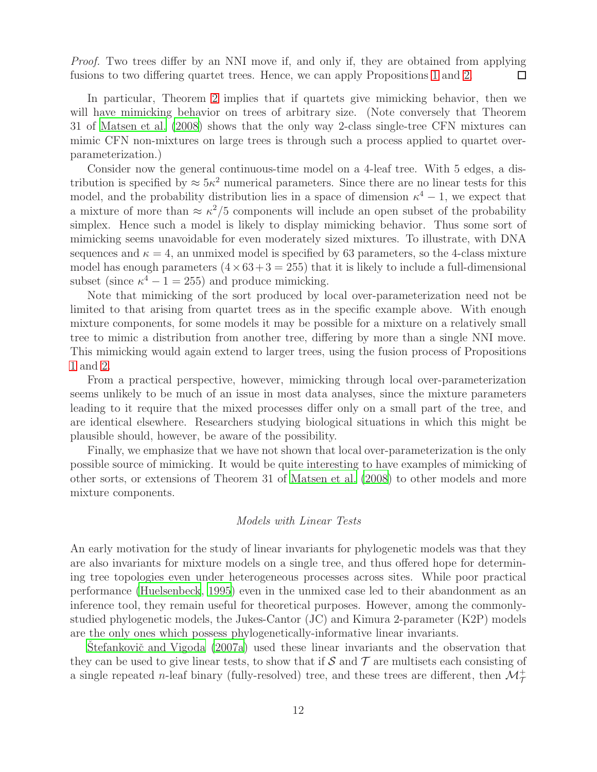Proof. Two trees differ by an NNI move if, and only if, they are obtained from applying fusions to two differing quartet trees. Hence, we can apply Propositions [1](#page-9-0) and [2.](#page-10-1)  $\Box$ 

In particular, Theorem [2](#page-10-2) implies that if quartets give mimicking behavior, then we will have mimicking behavior on trees of arbitrary size. (Note conversely that Theorem 31 of [Matsen et al. \(2008\)](#page-15-9) shows that the only way 2-class single-tree CFN mixtures can mimic CFN non-mixtures on large trees is through such a process applied to quartet overparameterization.)

Consider now the general continuous-time model on a 4-leaf tree. With 5 edges, a distribution is specified by  $\approx 5\kappa^2$  numerical parameters. Since there are no linear tests for this model, and the probability distribution lies in a space of dimension  $\kappa^4 - 1$ , we expect that a mixture of more than  $\approx \kappa^2/5$  components will include an open subset of the probability simplex. Hence such a model is likely to display mimicking behavior. Thus some sort of mimicking seems unavoidable for even moderately sized mixtures. To illustrate, with DNA sequences and  $\kappa = 4$ , an unmixed model is specified by 63 parameters, so the 4-class mixture model has enough parameters  $(4 \times 63 + 3 = 255)$  that it is likely to include a full-dimensional subset (since  $\kappa^4 - 1 = 255$ ) and produce mimicking.

Note that mimicking of the sort produced by local over-parameterization need not be limited to that arising from quartet trees as in the specific example above. With enough mixture components, for some models it may be possible for a mixture on a relatively small tree to mimic a distribution from another tree, differing by more than a single NNI move. This mimicking would again extend to larger trees, using the fusion process of Propositions [1](#page-9-0) and [2.](#page-10-1)

From a practical perspective, however, mimicking through local over-parameterization seems unlikely to be much of an issue in most data analyses, since the mixture parameters leading to it require that the mixed processes differ only on a small part of the tree, and are identical elsewhere. Researchers studying biological situations in which this might be plausible should, however, be aware of the possibility.

Finally, we emphasize that we have not shown that local over-parameterization is the only possible source of mimicking. It would be quite interesting to have examples of mimicking of other sorts, or extensions of Theorem 31 of [Matsen et al. \(2008\)](#page-15-9) to other models and more mixture components.

## Models with Linear Tests

An early motivation for the study of linear invariants for phylogenetic models was that they are also invariants for mixture models on a single tree, and thus offered hope for determining tree topologies even under heterogeneous processes across sites. While poor practical performance [\(Huelsenbeck](#page-14-7), [1995](#page-14-7)) even in the unmixed case led to their abandonment as an inference tool, they remain useful for theoretical purposes. However, among the commonlystudied phylogenetic models, the Jukes-Cantor (JC) and Kimura 2-parameter (K2P) models are the only ones which possess phylogenetically-informative linear invariants.

Stefankovič and Vigoda (2007a) used these linear invariants and the observation that they can be used to give linear tests, to show that if  $\mathcal S$  and  $\mathcal T$  are multisets each consisting of a single repeated *n*-leaf binary (fully-resolved) tree, and these trees are different, then  $\mathcal{M}_{\mathcal{T}}^{+}$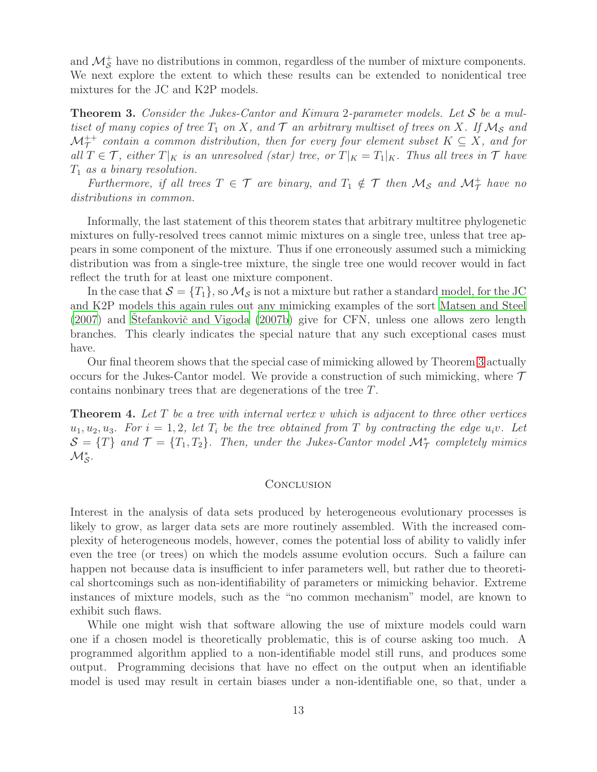and  $\mathcal{M}_{\mathcal{S}}^+$  have no distributions in common, regardless of the number of mixture components. We next explore the extent to which these results can be extended to nonidentical tree mixtures for the JC and K2P models.

<span id="page-12-0"></span>**Theorem 3.** Consider the Jukes-Cantor and Kimura 2-parameter models. Let S be a multiset of many copies of tree  $T_1$  on X, and  $\mathcal T$  an arbitrary multiset of trees on X. If  $\mathcal M_{\mathcal S}$  and  ${\mathcal M}_\mathcal{T}^+$  contain a common distribution, then for every four element subset  $K\subseteq X,$  and for all  $T \in \mathcal{T}$ , either  $T|_K$  is an unresolved (star) tree, or  $T|_K = T_1|_K$ . Thus all trees in  $\mathcal{T}$  have  $T_1$  as a binary resolution.

Furthermore, if all trees  $T \in \mathcal{T}$  are binary, and  $T_1 \notin \mathcal{T}$  then  $\mathcal{M}_{\mathcal{S}}$  and  $\mathcal{M}_{\mathcal{T}}^+$  have no distributions in common.

Informally, the last statement of this theorem states that arbitrary multitree phylogenetic mixtures on fully-resolved trees cannot mimic mixtures on a single tree, unless that tree appears in some component of the mixture. Thus if one erroneously assumed such a mimicking distribution was from a single-tree mixture, the single tree one would recover would in fact reflect the truth for at least one mixture component.

In the case that  $\mathcal{S} = \{T_1\}$ , so  $\mathcal{M}_{\mathcal{S}}$  is not a mixture but rather a standard model, for the JC and K2P models this again rules out any mimicking examples of the sort [Matsen and Steel](#page-15-0)  $(2007)$  and Stefankovič and Vigoda  $(2007b)$  give for CFN, unless one allows zero length branches. This clearly indicates the special nature that any such exceptional cases must have.

Our final theorem shows that the special case of mimicking allowed by Theorem [3](#page-12-0) actually occurs for the Jukes-Cantor model. We provide a construction of such mimicking, where  $\mathcal T$ contains nonbinary trees that are degenerations of the tree T.

<span id="page-12-1"></span>**Theorem 4.** Let T be a tree with internal vertex v which is adjacent to three other vertices  $u_1, u_2, u_3$ . For  $i = 1, 2$ , let  $T_i$  be the tree obtained from T by contracting the edge  $u_i v$ . Let  $S = \{T\}$  and  $\mathcal{T} = \{T_1, T_2\}$ . Then, under the Jukes-Cantor model  $\mathcal{M}^*_{\mathcal{T}}$  completely mimics  $\mathcal{M}^*_\mathcal{S}$ .

## **CONCLUSION**

Interest in the analysis of data sets produced by heterogeneous evolutionary processes is likely to grow, as larger data sets are more routinely assembled. With the increased complexity of heterogeneous models, however, comes the potential loss of ability to validly infer even the tree (or trees) on which the models assume evolution occurs. Such a failure can happen not because data is insufficient to infer parameters well, but rather due to theoretical shortcomings such as non-identifiability of parameters or mimicking behavior. Extreme instances of mixture models, such as the "no common mechanism" model, are known to exhibit such flaws.

While one might wish that software allowing the use of mixture models could warn one if a chosen model is theoretically problematic, this is of course asking too much. A programmed algorithm applied to a non-identifiable model still runs, and produces some output. Programming decisions that have no effect on the output when an identifiable model is used may result in certain biases under a non-identifiable one, so that, under a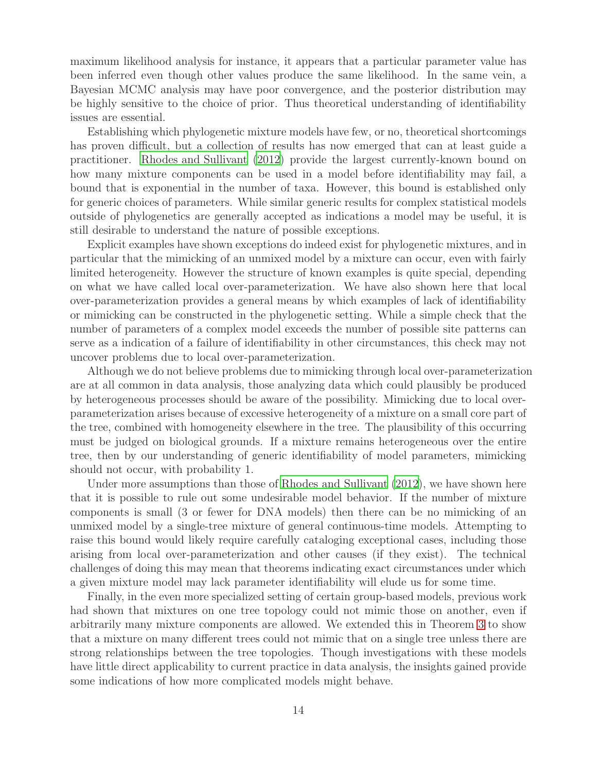maximum likelihood analysis for instance, it appears that a particular parameter value has been inferred even though other values produce the same likelihood. In the same vein, a Bayesian MCMC analysis may have poor convergence, and the posterior distribution may be highly sensitive to the choice of prior. Thus theoretical understanding of identifiability issues are essential.

Establishing which phylogenetic mixture models have few, or no, theoretical shortcomings has proven difficult, but a collection of results has now emerged that can at least guide a practitioner. [Rhodes and Sullivant \(2012](#page-15-15)) provide the largest currently-known bound on how many mixture components can be used in a model before identifiability may fail, a bound that is exponential in the number of taxa. However, this bound is established only for generic choices of parameters. While similar generic results for complex statistical models outside of phylogenetics are generally accepted as indications a model may be useful, it is still desirable to understand the nature of possible exceptions.

Explicit examples have shown exceptions do indeed exist for phylogenetic mixtures, and in particular that the mimicking of an unmixed model by a mixture can occur, even with fairly limited heterogeneity. However the structure of known examples is quite special, depending on what we have called local over-parameterization. We have also shown here that local over-parameterization provides a general means by which examples of lack of identifiability or mimicking can be constructed in the phylogenetic setting. While a simple check that the number of parameters of a complex model exceeds the number of possible site patterns can serve as a indication of a failure of identifiability in other circumstances, this check may not uncover problems due to local over-parameterization.

Although we do not believe problems due to mimicking through local over-parameterization are at all common in data analysis, those analyzing data which could plausibly be produced by heterogeneous processes should be aware of the possibility. Mimicking due to local overparameterization arises because of excessive heterogeneity of a mixture on a small core part of the tree, combined with homogeneity elsewhere in the tree. The plausibility of this occurring must be judged on biological grounds. If a mixture remains heterogeneous over the entire tree, then by our understanding of generic identifiability of model parameters, mimicking should not occur, with probability 1.

Under more assumptions than those of [Rhodes and Sullivant \(2012](#page-15-15)), we have shown here that it is possible to rule out some undesirable model behavior. If the number of mixture components is small (3 or fewer for DNA models) then there can be no mimicking of an unmixed model by a single-tree mixture of general continuous-time models. Attempting to raise this bound would likely require carefully cataloging exceptional cases, including those arising from local over-parameterization and other causes (if they exist). The technical challenges of doing this may mean that theorems indicating exact circumstances under which a given mixture model may lack parameter identifiability will elude us for some time.

Finally, in the even more specialized setting of certain group-based models, previous work had shown that mixtures on one tree topology could not mimic those on another, even if arbitrarily many mixture components are allowed. We extended this in Theorem [3](#page-12-0) to show that a mixture on many different trees could not mimic that on a single tree unless there are strong relationships between the tree topologies. Though investigations with these models have little direct applicability to current practice in data analysis, the insights gained provide some indications of how more complicated models might behave.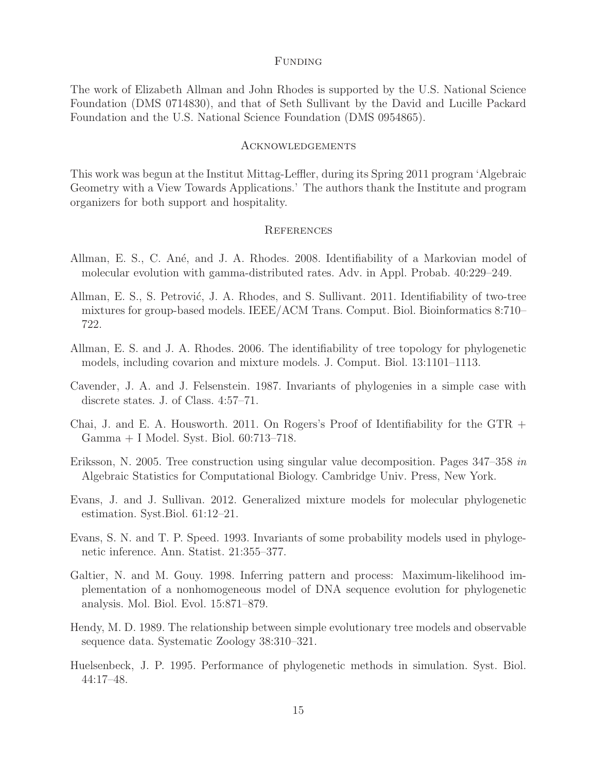## Funding

The work of Elizabeth Allman and John Rhodes is supported by the U.S. National Science Foundation (DMS 0714830), and that of Seth Sullivant by the David and Lucille Packard Foundation and the U.S. National Science Foundation (DMS 0954865).

#### Acknowledgements

This work was begun at the Institut Mittag-Leffler, during its Spring 2011 program 'Algebraic Geometry with a View Towards Applications.' The authors thank the Institute and program organizers for both support and hospitality.

## **REFERENCES**

- <span id="page-14-1"></span>Allman, E. S., C. Ané, and J. A. Rhodes. 2008. Identifiability of a Markovian model of molecular evolution with gamma-distributed rates. Adv. in Appl. Probab. 40:229–249.
- <span id="page-14-4"></span>Allman, E. S., S. Petrović, J. A. Rhodes, and S. Sullivant. 2011. Identifiability of two-tree mixtures for group-based models. IEEE/ACM Trans. Comput. Biol. Bioinformatics 8:710– 722.
- <span id="page-14-3"></span>Allman, E. S. and J. A. Rhodes. 2006. The identifiability of tree topology for phylogenetic models, including covarion and mixture models. J. Comput. Biol. 13:1101–1113.
- <span id="page-14-5"></span>Cavender, J. A. and J. Felsenstein. 1987. Invariants of phylogenies in a simple case with discrete states. J. of Class. 4:57–71.
- <span id="page-14-0"></span>Chai, J. and E. A. Housworth. 2011. On Rogers's Proof of Identifiability for the GTR + Gamma + I Model. Syst. Biol. 60:713–718.
- <span id="page-14-8"></span>Eriksson, N. 2005. Tree construction using singular value decomposition. Pages 347–358 in Algebraic Statistics for Computational Biology. Cambridge Univ. Press, New York.
- <span id="page-14-2"></span>Evans, J. and J. Sullivan. 2012. Generalized mixture models for molecular phylogenetic estimation. Syst.Biol. 61:12–21.
- <span id="page-14-10"></span>Evans, S. N. and T. P. Speed. 1993. Invariants of some probability models used in phylogenetic inference. Ann. Statist. 21:355–377.
- <span id="page-14-6"></span>Galtier, N. and M. Gouy. 1998. Inferring pattern and process: Maximum-likelihood implementation of a nonhomogeneous model of DNA sequence evolution for phylogenetic analysis. Mol. Biol. Evol. 15:871–879.
- <span id="page-14-9"></span>Hendy, M. D. 1989. The relationship between simple evolutionary tree models and observable sequence data. Systematic Zoology 38:310–321.
- <span id="page-14-7"></span>Huelsenbeck, J. P. 1995. Performance of phylogenetic methods in simulation. Syst. Biol. 44:17–48.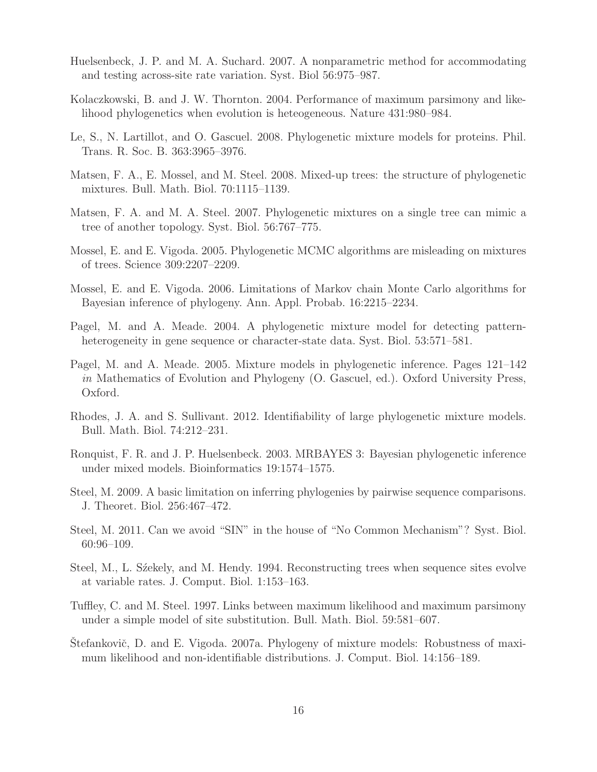- <span id="page-15-13"></span>Huelsenbeck, J. P. and M. A. Suchard. 2007. A nonparametric method for accommodating and testing across-site rate variation. Syst. Biol 56:975–987.
- <span id="page-15-6"></span>Kolaczkowski, B. and J. W. Thornton. 2004. Performance of maximum parsimony and likelihood phylogenetics when evolution is heteogeneous. Nature 431:980–984.
- <span id="page-15-14"></span>Le, S., N. Lartillot, and O. Gascuel. 2008. Phylogenetic mixture models for proteins. Phil. Trans. R. Soc. B. 363:3965–3976.
- <span id="page-15-9"></span>Matsen, F. A., E. Mossel, and M. Steel. 2008. Mixed-up trees: the structure of phylogenetic mixtures. Bull. Math. Biol. 70:1115–1139.
- <span id="page-15-0"></span>Matsen, F. A. and M. A. Steel. 2007. Phylogenetic mixtures on a single tree can mimic a tree of another topology. Syst. Biol. 56:767–775.
- <span id="page-15-7"></span>Mossel, E. and E. Vigoda. 2005. Phylogenetic MCMC algorithms are misleading on mixtures of trees. Science 309:2207–2209.
- <span id="page-15-8"></span>Mossel, E. and E. Vigoda. 2006. Limitations of Markov chain Monte Carlo algorithms for Bayesian inference of phylogeny. Ann. Appl. Probab. 16:2215–2234.
- <span id="page-15-11"></span>Pagel, M. and A. Meade. 2004. A phylogenetic mixture model for detecting patternheterogeneity in gene sequence or character-state data. Syst. Biol. 53:571–581.
- <span id="page-15-12"></span>Pagel, M. and A. Meade. 2005. Mixture models in phylogenetic inference. Pages 121–142 in Mathematics of Evolution and Phylogeny (O. Gascuel, ed.). Oxford University Press, Oxford.
- <span id="page-15-15"></span>Rhodes, J. A. and S. Sullivant. 2012. Identifiability of large phylogenetic mixture models. Bull. Math. Biol. 74:212–231.
- <span id="page-15-10"></span>Ronquist, F. R. and J. P. Huelsenbeck. 2003. MRBAYES 3: Bayesian phylogenetic inference under mixed models. Bioinformatics 19:1574–1575.
- <span id="page-15-2"></span>Steel, M. 2009. A basic limitation on inferring phylogenies by pairwise sequence comparisons. J. Theoret. Biol. 256:467–472.
- <span id="page-15-5"></span>Steel, M. 2011. Can we avoid "SIN" in the house of "No Common Mechanism"? Syst. Biol. 60:96–109.
- <span id="page-15-3"></span>Steel, M., L. Szekely, and M. Hendy. 1994. Reconstructing trees when sequence sites evolve at variable rates. J. Comput. Biol. 1:153–163.
- <span id="page-15-4"></span>Tuffley, C. and M. Steel. 1997. Links between maximum likelihood and maximum parsimony under a simple model of site substitution. Bull. Math. Biol. 59:581–607.
- <span id="page-15-1"></span>Stefankovič, D. and E. Vigoda. 2007a. Phylogeny of mixture models: Robustness of maximum likelihood and non-identifiable distributions. J. Comput. Biol. 14:156–189.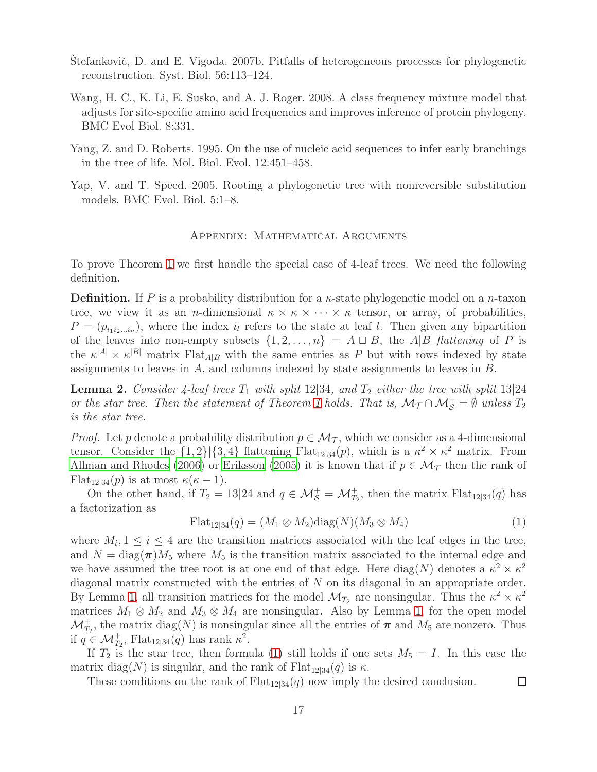- <span id="page-16-0"></span>Stefankovič, D. and E. Vigoda. 2007b. Pitfalls of heterogeneous processes for phylogenetic reconstruction. Syst. Biol. 56:113–124.
- <span id="page-16-1"></span>Wang, H. C., K. Li, E. Susko, and A. J. Roger. 2008. A class frequency mixture model that adjusts for site-specific amino acid frequencies and improves inference of protein phylogeny. BMC Evol Biol. 8:331.
- <span id="page-16-2"></span>Yang, Z. and D. Roberts. 1995. On the use of nucleic acid sequences to infer early branchings in the tree of life. Mol. Biol. Evol. 12:451–458.
- <span id="page-16-3"></span>Yap, V. and T. Speed. 2005. Rooting a phylogenetic tree with nonreversible substitution models. BMC Evol. Biol. 5:1–8.

## Appendix: Mathematical Arguments

To prove Theorem [1](#page-8-0) we first handle the special case of 4-leaf trees. We need the following definition.

**Definition.** If P is a probability distribution for a  $\kappa$ -state phylogenetic model on a n-taxon tree, we view it as an *n*-dimensional  $\kappa \times \kappa \times \cdots \times \kappa$  tensor, or array, of probabilities,  $P = (p_{i_1 i_2 \ldots i_n})$ , where the index  $i_l$  refers to the state at leaf l. Then given any bipartition of the leaves into non-empty subsets  $\{1, 2, \ldots, n\} = A \sqcup B$ , the A|B flattening of P is the  $\kappa^{|A|} \times \kappa^{|B|}$  matrix Flat<sub>A|B</sub> with the same entries as P but with rows indexed by state assignments to leaves in A, and columns indexed by state assignments to leaves in B.

<span id="page-16-5"></span>**Lemma 2.** Consider 4-leaf trees  $T_1$  with split 12|34, and  $T_2$  either the tree with split 13|24 or the star tree. Then the statement of Theorem [1](#page-8-0) holds. That is,  $\mathcal{M}_{\mathcal{T}} \cap \mathcal{M}_{\mathcal{S}}^+ = \emptyset$  unless  $T_2$ is the star tree.

*Proof.* Let p denote a probability distribution  $p \in \mathcal{M}_{\mathcal{T}}$ , which we consider as a 4-dimensional tensor. Consider the  $\{1,2\}|\{3,4\}$  flattening Flat<sub>12|34</sub> $(p)$ , which is a  $\kappa^2 \times \kappa^2$  matrix. From [Allman and Rhodes \(2006\)](#page-14-3) or [Eriksson \(2005](#page-14-8)) it is known that if  $p \in \mathcal{M}_{\mathcal{T}}$  then the rank of Flat<sub>12|34</sub> $(p)$  is at most  $\kappa(\kappa-1)$ .

On the other hand, if  $T_2 = 13|24$  and  $q \in \mathcal{M}_{\mathcal{S}}^+ = \mathcal{M}_{T_2}^+$ , then the matrix  $\text{Flat}_{12|34}(q)$  has a factorization as

<span id="page-16-4"></span>
$$
\mathrm{Flat}_{12|34}(q) = (M_1 \otimes M_2) \mathrm{diag}(N)(M_3 \otimes M_4) \tag{1}
$$

□

where  $M_i, 1 \leq i \leq 4$  are the transition matrices associated with the leaf edges in the tree, and  $N = \text{diag}(\boldsymbol{\pi})M_5$  where  $M_5$  is the transition matrix associated to the internal edge and we have assumed the tree root is at one end of that edge. Here  $\text{diag}(N)$  denotes a  $\kappa^2 \times \kappa^2$ diagonal matrix constructed with the entries of N on its diagonal in an appropriate order. By Lemma [1,](#page-6-0) all transition matrices for the model  $\mathcal{M}_{T_2}$  are nonsingular. Thus the  $\kappa^2 \times \kappa^2$ matrices  $M_1 \otimes M_2$  and  $M_3 \otimes M_4$  are nonsingular. Also by Lemma [1,](#page-6-0) for the open model  $\mathcal{M}_{T_2}^+$ , the matrix  $\text{diag}(N)$  is nonsingular since all the entries of  $\pi$  and  $M_5$  are nonzero. Thus if  $q \in \mathcal{M}_{T_2}^+$ , Flat<sub>12|34</sub> $(q)$  has rank  $\kappa^2$ .

If  $T_2$  is the star tree, then formula [\(1\)](#page-16-4) still holds if one sets  $M_5 = I$ . In this case the matrix diag(N) is singular, and the rank of  $\text{Flat}_{12|34}(q)$  is  $\kappa$ .

These conditions on the rank of  $Flat_{12|34}(q)$  now imply the desired conclusion.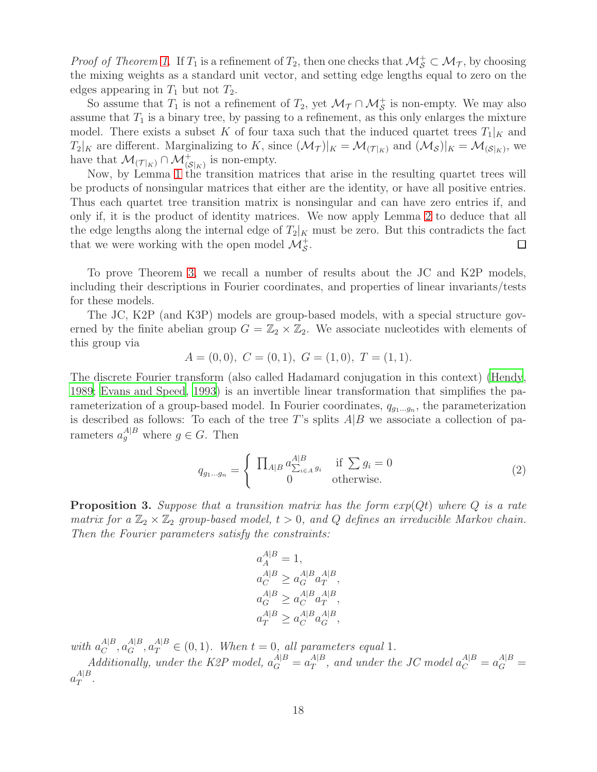*Proof of Theorem [1.](#page-8-0)* If  $T_1$  is a refinement of  $T_2$ , then one checks that  $\mathcal{M}^+_S \subset \mathcal{M}_{\mathcal{T}}$ , by choosing the mixing weights as a standard unit vector, and setting edge lengths equal to zero on the edges appearing in  $T_1$  but not  $T_2$ .

So assume that  $T_1$  is not a refinement of  $T_2$ , yet  $\mathcal{M}_{\mathcal{T}} \cap \mathcal{M}_{\mathcal{S}}^+$  is non-empty. We may also assume that  $T_1$  is a binary tree, by passing to a refinement, as this only enlarges the mixture model. There exists a subset K of four taxa such that the induced quartet trees  $T_1|_K$  and  $T_2|_K$  are different. Marginalizing to K, since  $(\mathcal{M}_{\mathcal{T}})|_K = \mathcal{M}_{(\mathcal{T}|_K)}$  and  $(\mathcal{M}_{\mathcal{S}})|_K = \mathcal{M}_{(\mathcal{S}|_K)}$ , we have that  $\mathcal{M}_{(\mathcal{T}|_K)} \cap \mathcal{M}_{(\mathcal{S}|_K)}^+$  is non-empty.

Now, by Lemma [1](#page-6-0) the transition matrices that arise in the resulting quartet trees will be products of nonsingular matrices that either are the identity, or have all positive entries. Thus each quartet tree transition matrix is nonsingular and can have zero entries if, and only if, it is the product of identity matrices. We now apply Lemma [2](#page-16-5) to deduce that all the edge lengths along the internal edge of  $T_2|_K$  must be zero. But this contradicts the fact that we were working with the open model  $\mathcal{M}_{\mathcal{S}}^+$ .  $\Box$ 

To prove Theorem [3,](#page-12-0) we recall a number of results about the JC and K2P models, including their descriptions in Fourier coordinates, and properties of linear invariants/tests for these models.

The JC, K2P (and K3P) models are group-based models, with a special structure governed by the finite abelian group  $G = \mathbb{Z}_2 \times \mathbb{Z}_2$ . We associate nucleotides with elements of this group via

$$
A = (0,0), C = (0,1), G = (1,0), T = (1,1).
$$

The discrete Fourier transform (also called Hadamard conjugation in this context) [\(Hendy,](#page-14-9) [1989;](#page-14-9) [Evans and Speed](#page-14-10), [1993\)](#page-14-10) is an invertible linear transformation that simplifies the parameterization of a group-based model. In Fourier coordinates,  $q_{g_1...g_n}$ , the parameterization is described as follows: To each of the tree T's splits  $A|B$  we associate a collection of parameters  $a_g^{A|B}$  where  $g \in G$ . Then

<span id="page-17-0"></span>
$$
q_{g_1\ldots g_n} = \begin{cases} \prod_{A|B} a_{\sum_{i\in A} g_i}^{A|B} & \text{if } \sum g_i = 0\\ 0 & \text{otherwise.} \end{cases}
$$
 (2)

<span id="page-17-1"></span>**Proposition 3.** Suppose that a transition matrix has the form  $exp(Qt)$  where Q is a rate matrix for a  $\mathbb{Z}_2 \times \mathbb{Z}_2$  group-based model,  $t > 0$ , and Q defines an irreducible Markov chain. Then the Fourier parameters satisfy the constraints:

$$
a_A^{A|B} = 1,
$$
  
\n
$$
a_C^{A|B} \ge a_G^{A|B} a_T^{A|B},
$$
  
\n
$$
a_G^{A|B} \ge a_C^{A|B} a_T^{A|B},
$$
  
\n
$$
a_T^{A|B} \ge a_C^{A|B} a_G^{A|B},
$$

with  $a_C^{A|B}$  $_{C}^{A|B}, a_{G}^{A|B}, a_{T}^{A|B} \in (0,1)$ . When  $t = 0$ , all parameters equal 1.

Additionally, under the K2P model,  $a_G^{A|B} = a_T^{A|B}$  $A|B \over T$ , and under the JC model  $a_C^{A|B} = a_G^{A|B} =$  $a_T^{A|B}$  $T^{\mid D}$  .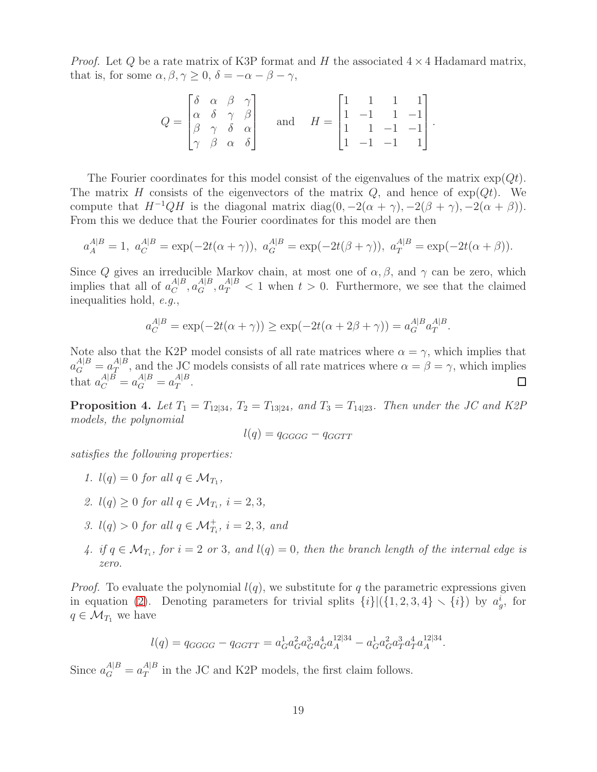*Proof.* Let Q be a rate matrix of K3P format and H the associated  $4 \times 4$  Hadamard matrix, that is, for some  $\alpha, \beta, \gamma \geq 0$ ,  $\delta = -\alpha - \beta - \gamma$ ,

$$
Q = \begin{bmatrix} \delta & \alpha & \beta & \gamma \\ \alpha & \delta & \gamma & \beta \\ \beta & \gamma & \delta & \alpha \\ \gamma & \beta & \alpha & \delta \end{bmatrix} \quad \text{and} \quad H = \begin{bmatrix} 1 & 1 & 1 & 1 \\ 1 & -1 & 1 & -1 \\ 1 & 1 & -1 & -1 \\ 1 & -1 & -1 & 1 \end{bmatrix}
$$

.

The Fourier coordinates for this model consist of the eigenvalues of the matrix  $\exp(Qt)$ . The matrix H consists of the eigenvectors of the matrix  $Q$ , and hence of  $exp(Qt)$ . We compute that  $H^{-1}QH$  is the diagonal matrix diag(0, -2( $\alpha + \gamma$ ), -2( $\beta + \gamma$ ), -2( $\alpha + \beta$ )). From this we deduce that the Fourier coordinates for this model are then

$$
a_A^{A|B} = 1
$$
,  $a_C^{A|B} = \exp(-2t(\alpha + \gamma))$ ,  $a_G^{A|B} = \exp(-2t(\beta + \gamma))$ ,  $a_T^{A|B} = \exp(-2t(\alpha + \beta))$ .

Since Q gives an irreducible Markov chain, at most one of  $\alpha, \beta$ , and  $\gamma$  can be zero, which implies that all of  $a_C^{A|B}$  $C^{A|B}, a_G^{A|B}, a_T^{A|B} < 1$  when  $t > 0$ . Furthermore, we see that the claimed inequalities hold, e.g.,

$$
a_C^{A|B} = \exp(-2t(\alpha + \gamma)) \ge \exp(-2t(\alpha + 2\beta + \gamma)) = a_G^{A|B} a_T^{A|B}.
$$

Note also that the K2P model consists of all rate matrices where  $\alpha = \gamma$ , which implies that  $a_G^{A|B} = a_T^{A|B}$  $T<sup>A|B</sup>$ , and the JC models consists of all rate matrices where  $\alpha = \beta = \gamma$ , which implies that  $a_C^{A|B} = a_G^{A|B} = a_T^{A|B}$  $T^{\mid D}$ .

<span id="page-18-0"></span>**Proposition 4.** Let  $T_1 = T_{12|34}$ ,  $T_2 = T_{13|24}$ , and  $T_3 = T_{14|23}$ . Then under the JC and K2P models, the polynomial

$$
l(q) = q_{GGGG} - q_{GGTT}
$$

satisfies the following properties:

- 1.  $l(q) = 0$  for all  $q \in \mathcal{M}_{T_1}$ ,
- 2.  $l(q) \geq 0$  for all  $q \in \mathcal{M}_{T_i}$ ,  $i = 2, 3$ ,
- 3.  $l(q) > 0$  for all  $q \in \mathcal{M}_{T_i}^+$ ,  $i = 2, 3$ , and
- 4. if  $q \in \mathcal{M}_{T_i}$ , for  $i = 2$  or 3, and  $l(q) = 0$ , then the branch length of the internal edge is zero.

*Proof.* To evaluate the polynomial  $l(q)$ , we substitute for q the parametric expressions given in equation [\(2\)](#page-17-0). Denoting parameters for trivial splits  $\{i\} | (\{1, 2, 3, 4\} \setminus \{i\})$  by  $a_g^i$ , for  $q \in \mathcal{M}_{T_1}$  we have

$$
l(q) = q_{GGGG} - q_{GGTT} = a_G^1 a_G^2 a_G^3 a_G^4 a_A^{12|34} - a_G^1 a_G^2 a_T^3 a_T^4 a_A^{12|34}.
$$

Since  $a_G^{A|B} = a_T^{A|B}$  $T<sup>A|B</sup>$  in the JC and K2P models, the first claim follows.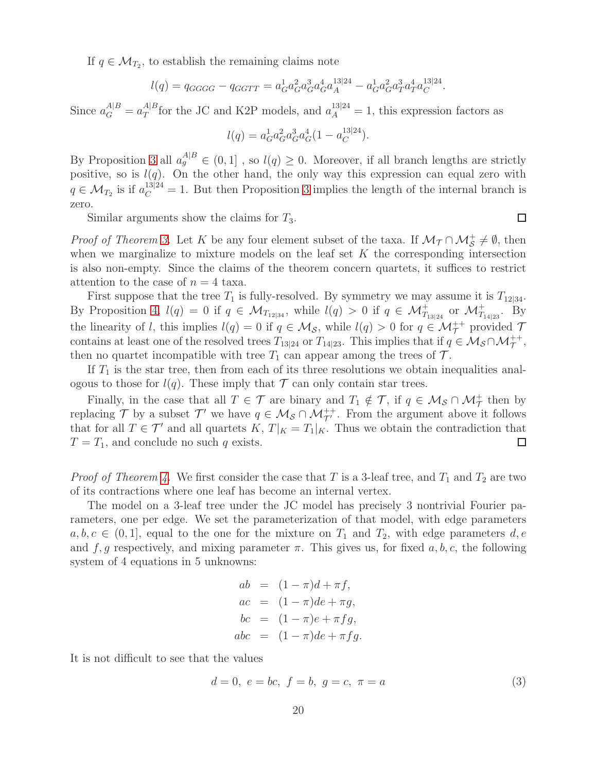If  $q \in \mathcal{M}_{T_2}$ , to establish the remaining claims note

$$
l(q) = q_{GGGG} - q_{GGTT} = a_G^1 a_G^2 a_G^3 a_G^4 a_A^{13|24} - a_G^1 a_G^2 a_T^3 a_T^4 a_C^{13|24}.
$$

Since  $a_G^{A|B} = a_T^{A|B}$  $T<sup>A|B</sup>$  for the JC and K2P models, and  $a_A^{13|24} = 1$ , this expression factors as

$$
l(q) = a_G^1 a_G^2 a_G^3 a_G^4 (1 - a_C^{13|24}).
$$

By Proposition [3](#page-17-1) all  $a_g^{A|B} \in (0,1]$ , so  $l(q) \geq 0$ . Moreover, if all branch lengths are strictly positive, so is  $l(q)$ . On the other hand, the only way this expression can equal zero with  $q \in \mathcal{M}_{T_2}$  is if  $a_C^{13|24} = 1$ . But then Proposition [3](#page-17-1) implies the length of the internal branch is zero.

Similar arguments show the claims for  $T_3$ .

*Proof of Theorem [3.](#page-12-0)* Let K be any four element subset of the taxa. If  $M_{\tau} \cap M_{\mathcal{S}}^+ \neq \emptyset$ , then when we marginalize to mixture models on the leaf set  $K$  the corresponding intersection is also non-empty. Since the claims of the theorem concern quartets, it suffices to restrict attention to the case of  $n = 4$  taxa.

First suppose that the tree  $T_1$  is fully-resolved. By symmetry we may assume it is  $T_{12|34}$ . By Proposition [4,](#page-18-0)  $l(q) = 0$  if  $q \in M_{T_{12|34}}$ , while  $l(q) > 0$  if  $q \in M^+_{T_{13|24}}$  or  $M^+_{T_{14|23}}$ . By the linearity of l, this implies  $l(q) = 0$  if  $q \in M_{\mathcal{S}}$ , while  $l(q) > 0$  for  $q \in M_{\mathcal{T}}^{++}$  provided  $\mathcal{T}$ contains at least one of the resolved trees  $T_{13|24}$  or  $T_{14|23}$ . This implies that if  $q \in M_S \cap M_T^{++}$ , then no quartet incompatible with tree  $T_1$  can appear among the trees of  $\mathcal{T}$ .

If  $T_1$  is the star tree, then from each of its three resolutions we obtain inequalities analogous to those for  $l(q)$ . These imply that  $\mathcal T$  can only contain star trees.

Finally, in the case that all  $T \in \mathcal{T}$  are binary and  $T_1 \notin \mathcal{T}$ , if  $q \in \mathcal{M}_{\mathcal{S}} \cap \mathcal{M}_{\mathcal{T}}^+$  then by replacing T by a subset T' we have  $q \in M_S \cap M_{\mathcal{T}}^{++}$ . From the argument above it follows that for all  $T \in \mathcal{T}'$  and all quartets  $K, T|_{K} = T_1|_{K}$ . Thus we obtain the contradiction that  $T = T_1$ , and conclude no such q exists.  $\Box$ 

*Proof of Theorem [4.](#page-12-1)* We first consider the case that T is a 3-leaf tree, and  $T_1$  and  $T_2$  are two of its contractions where one leaf has become an internal vertex.

The model on a 3-leaf tree under the JC model has precisely 3 nontrivial Fourier parameters, one per edge. We set the parameterization of that model, with edge parameters  $a, b, c \in (0, 1]$ , equal to the one for the mixture on  $T_1$  and  $T_2$ , with edge parameters  $d, e$ and f, g respectively, and mixing parameter  $\pi$ . This gives us, for fixed a, b, c, the following system of 4 equations in 5 unknowns:

$$
ab = (1 - \pi)d + \pi f,
$$
  
\n
$$
ac = (1 - \pi)de + \pi g,
$$
  
\n
$$
bc = (1 - \pi)e + \pi fg,
$$
  
\n
$$
abc = (1 - \pi)de + \pi fg.
$$

It is not difficult to see that the values

<span id="page-19-0"></span>
$$
d = 0, e = bc, f = b, g = c, \pi = a
$$
\n(3)

□